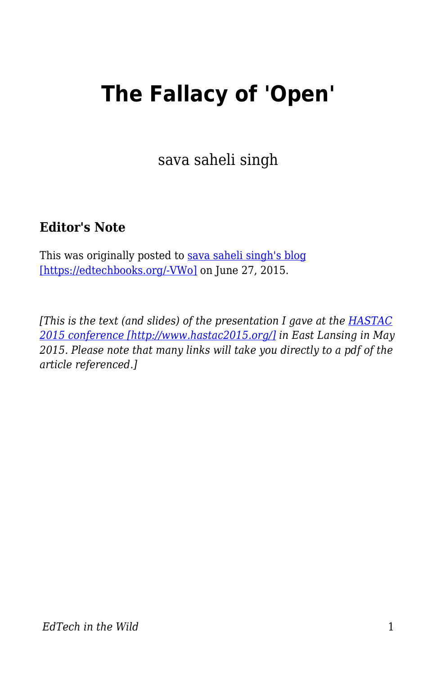## **The Fallacy of 'Open'**

sava saheli singh

## **Editor's Note**

This was originally posted to [sava saheli singh's blog](https://savasavasava.wordpress.com/2015/06/27/the-fallacy-of-open/) [\[https://edtechbooks.org/-VWo\]](https://savasavasava.wordpress.com/2015/06/27/the-fallacy-of-open/) on June 27, 2015.

*[This is the text (and slides) of the presentation I gave at the [HASTAC](http://www.hastac2015.org/) [2015 conference \[http://www.hastac2015.org/\]](http://www.hastac2015.org/) in East Lansing in May 2015. Please note that many links will take you directly to a pdf of the article referenced.]*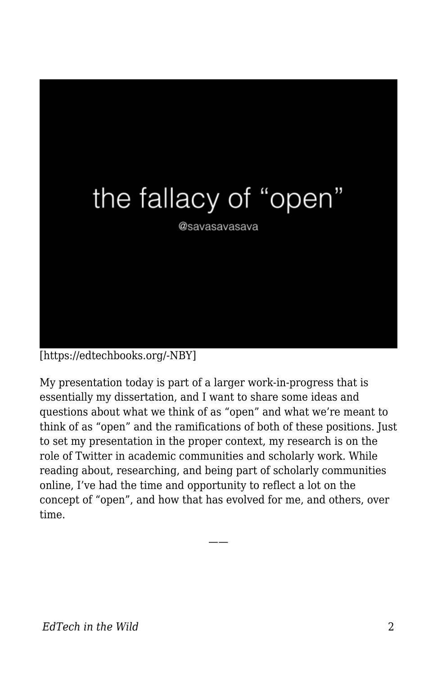

[https://edtechbooks.org/-NBY]

My presentation today is part of a larger work-in-progress that is essentially my dissertation, and I want to share some ideas and questions about what we think of as "open" and what we're meant to think of as "open" and the ramifications of both of these positions. Just to set my presentation in the proper context, my research is on the role of Twitter in academic communities and scholarly work. While reading about, researching, and being part of scholarly communities online, I've had the time and opportunity to reflect a lot on the concept of "open", and how that has evolved for me, and others, over time.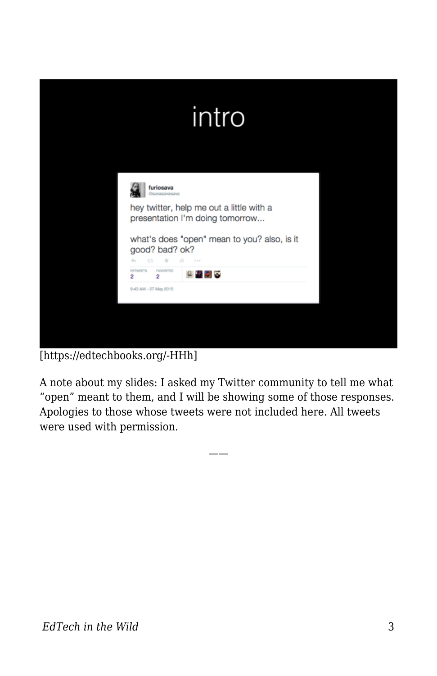

[https://edtechbooks.org/-HHh]

A note about my slides: I asked my Twitter community to tell me what "open" meant to them, and I will be showing some of those responses. Apologies to those whose tweets were not included here. All tweets were used with permission.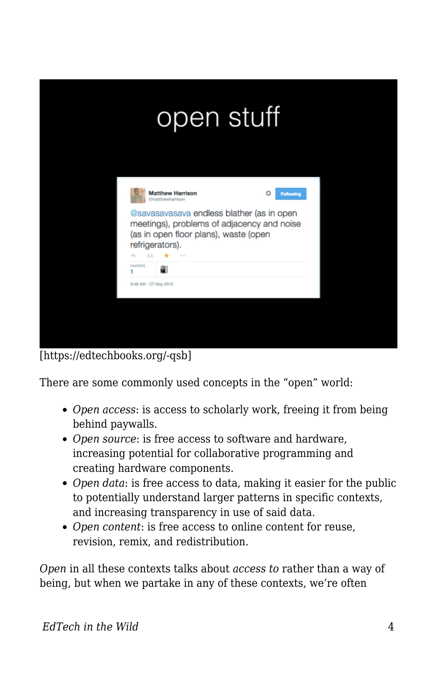|     |                                          | open stuff                                                                                                                                                                                                          |                       |  |
|-----|------------------------------------------|---------------------------------------------------------------------------------------------------------------------------------------------------------------------------------------------------------------------|-----------------------|--|
|     |                                          | <b>Matthew Harrison</b><br><b>Gmatthewharrison</b><br>@savasavasava endless blather (as in open<br>meetings), problems of adjacency and noise<br>(as in open floor plans), waste (open<br>refrigerators).<br>$-111$ | n<br><b>Following</b> |  |
|     | <b>FAVORITE</b><br>9:48 AM - 27 May 2015 | a                                                                                                                                                                                                                   |                       |  |
|     |                                          |                                                                                                                                                                                                                     |                       |  |
|     |                                          |                                                                                                                                                                                                                     |                       |  |
| - - | $\overline{\phantom{a}}$                 |                                                                                                                                                                                                                     |                       |  |

[https://edtechbooks.org/-qsb]

There are some commonly used concepts in the "open" world:

- *Open access*: is access to scholarly work, freeing it from being behind paywalls.
- *Open source*: is free access to software and hardware, increasing potential for collaborative programming and creating hardware components.
- *Open data*: is free access to data, making it easier for the public to potentially understand larger patterns in specific contexts, and increasing transparency in use of said data.
- *Open content*: is free access to online content for reuse, revision, remix, and redistribution.

*Open* in all these contexts talks about *access to* rather than a way of being, but when we partake in any of these contexts, we're often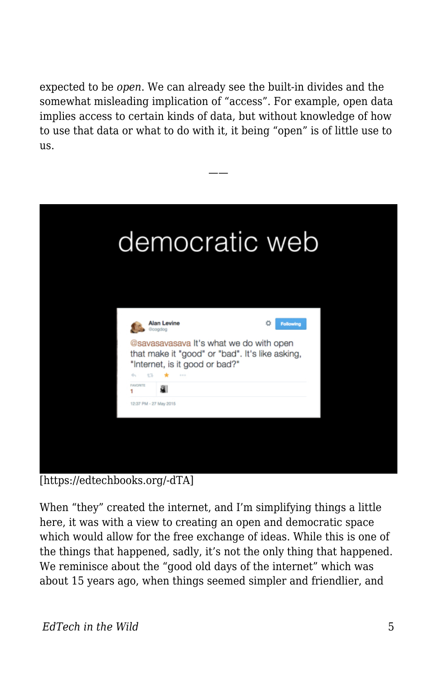expected to be *open*. We can already see the built-in divides and the somewhat misleading implication of "access". For example, open data implies access to certain kinds of data, but without knowledge of how to use that data or what to do with it, it being "open" is of little use to us.

——



[https://edtechbooks.org/-dTA]

When "they" created the internet, and I'm simplifying things a little here, it was with a view to creating an open and democratic space which would allow for the free exchange of ideas. While this is one of the things that happened, sadly, it's not the only thing that happened. We reminisce about the "good old days of the internet" which was about 15 years ago, when things seemed simpler and friendlier, and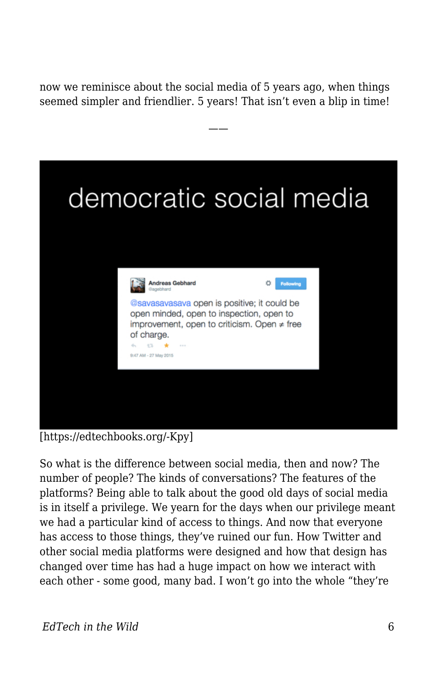now we reminisce about the social media of 5 years ago, when things seemed simpler and friendlier. 5 years! That isn't even a blip in time!

——



[https://edtechbooks.org/-Kpy]

So what is the difference between social media, then and now? The number of people? The kinds of conversations? The features of the platforms? Being able to talk about the good old days of social media is in itself a privilege. We yearn for the days when our privilege meant we had a particular kind of access to things. And now that everyone has access to those things, they've ruined our fun. How Twitter and other social media platforms were designed and how that design has changed over time has had a huge impact on how we interact with each other - some good, many bad. I won't go into the whole "they're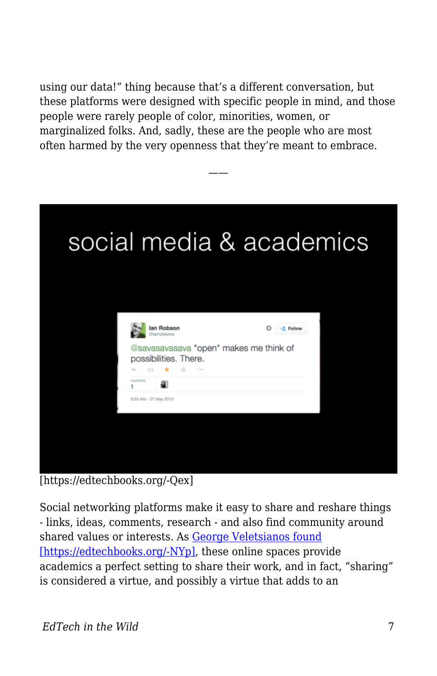using our data!" thing because that's a different conversation, but these platforms were designed with specific people in mind, and those people were rarely people of color, minorities, women, or marginalized folks. And, sadly, these are the people who are most often harmed by the very openness that they're meant to embrace.

——



[https://edtechbooks.org/-Qex]

Social networking platforms make it easy to share and reshare things - links, ideas, comments, research - and also find community around shared values or interests. As [George Veletsianos found](http://www.veletsianos.com/wp-content/uploads/2013/12/veletsianos_open_practices_and_identity.pdf) [\[https://edtechbooks.org/-NYp\],](http://www.veletsianos.com/wp-content/uploads/2013/12/veletsianos_open_practices_and_identity.pdf) these online spaces provide academics a perfect setting to share their work, and in fact, "sharing" is considered a virtue, and possibly a virtue that adds to an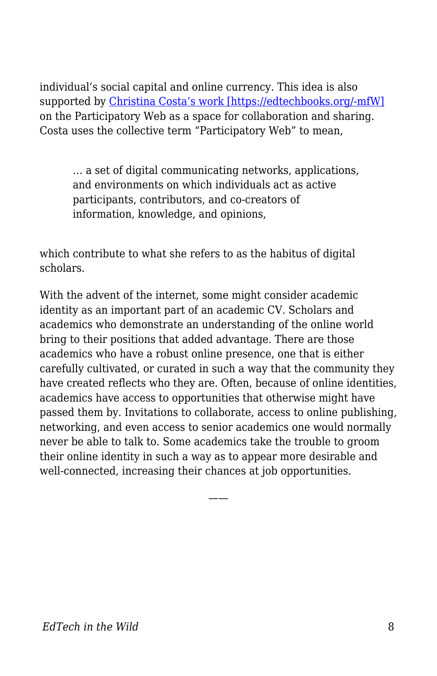individual's social capital and online currency. This idea is also supported by [Christina Costa's work \[https://edtechbooks.org/-mfW\]](http://journals.co-action.net/index.php/rlt/article/view/21274) on the Participatory Web as a space for collaboration and sharing. Costa uses the collective term "Participatory Web" to mean,

… a set of digital communicating networks, applications, and environments on which individuals act as active participants, contributors, and co-creators of information, knowledge, and opinions,

which contribute to what she refers to as the habitus of digital scholars.

With the advent of the internet, some might consider academic identity as an important part of an academic CV. Scholars and academics who demonstrate an understanding of the online world bring to their positions that added advantage. There are those academics who have a robust online presence, one that is either carefully cultivated, or curated in such a way that the community they have created reflects who they are. Often, because of online identities, academics have access to opportunities that otherwise might have passed them by. Invitations to collaborate, access to online publishing, networking, and even access to senior academics one would normally never be able to talk to. Some academics take the trouble to groom their online identity in such a way as to appear more desirable and well-connected, increasing their chances at job opportunities.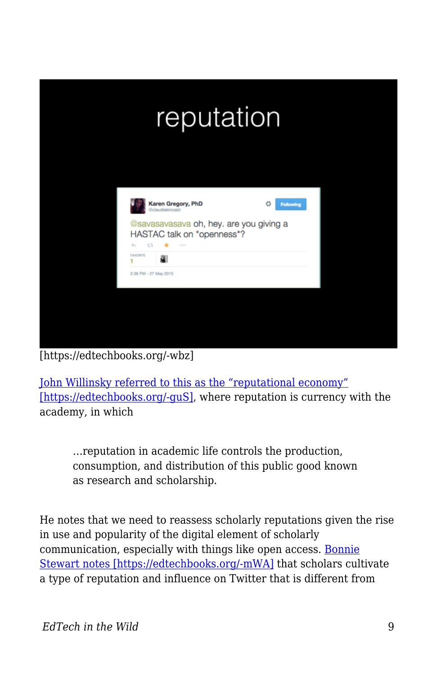

[https://edtechbooks.org/-wbz]

[John Willinsky referred to this as the "reputational economy"](http://nopr.niscair.res.in/bitstream/123456789/10242/4/ALIS%2057%283%29%20296-302.pdf) [\[https://edtechbooks.org/-guS\]](http://nopr.niscair.res.in/bitstream/123456789/10242/4/ALIS%2057%283%29%20296-302.pdf), where reputation is currency with the academy, in which

…reputation in academic life controls the production, consumption, and distribution of this public good known as research and scholarship.

He notes that we need to reassess scholarly reputations given the rise in use and popularity of the digital element of scholarly communication, especially with things like open access. [Bonnie](http://theory.cribchronicles.com/Open%20to%20Influence%20Pre-print.pdf) [Stewart notes \[https://edtechbooks.org/-mWA\]](http://theory.cribchronicles.com/Open%20to%20Influence%20Pre-print.pdf) that scholars cultivate a type of reputation and influence on Twitter that is different from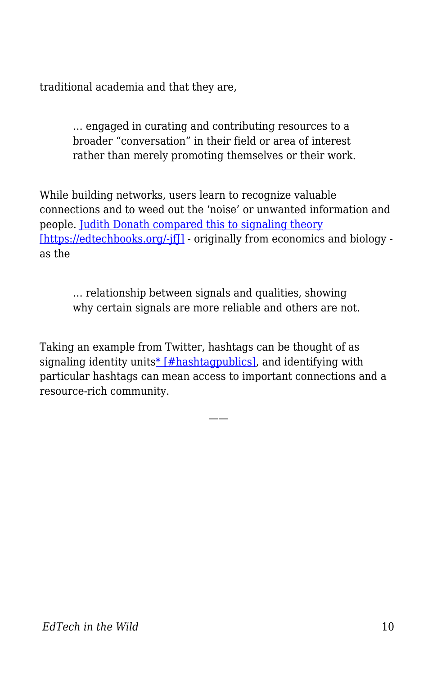traditional academia and that they are,

… engaged in curating and contributing resources to a broader "conversation" in their field or area of interest rather than merely promoting themselves or their work.

While building networks, users learn to recognize valuable connections and to weed out the 'noise' or unwanted information and people. [Judith Donath compared this to signaling theory](http://onlinelibrary.wiley.com/doi/10.1111/j.1083-6101.2007.00394.x/full) [https://edtechbooks.org/-jf]] - originally from economics and biology as the

… relationship between signals and qualities, showing why certain signals are more reliable and others are not.

Taking an example from Twitter, hashtags can be thought of as signaling identity unit[s\\* \[#hashtagpublics\]](#page--1-0), and identifying with particular hashtags can mean access to important connections and a resource-rich community.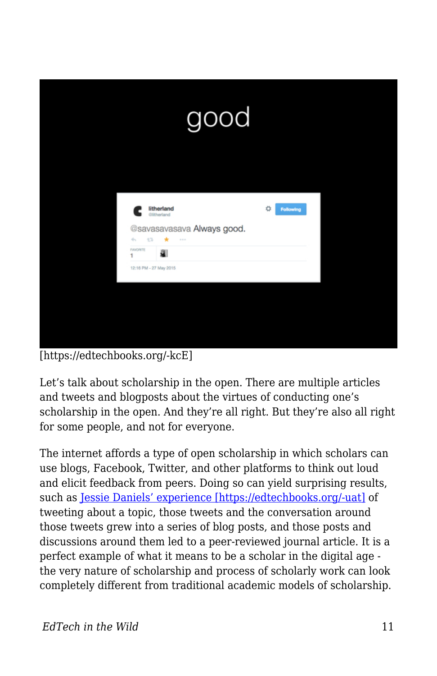

[https://edtechbooks.org/-kcE]

Let's talk about scholarship in the open. There are multiple articles and tweets and blogposts about the virtues of conducting one's scholarship in the open. And they're all right. But they're also all right for some people, and not for everyone.

The internet affords a type of open scholarship in which scholars can use blogs, Facebook, Twitter, and other platforms to think out loud and elicit feedback from peers. Doing so can yield surprising results, such as [Jessie Daniels' experience \[https://edtechbooks.org/-uat\]](http://blogs.lse.ac.uk/impactofsocialsciences/2013/09/25/how-to-be-a-scholar-daniels/) of tweeting about a topic, those tweets and the conversation around those tweets grew into a series of blog posts, and those posts and discussions around them led to a peer-reviewed journal article. It is a perfect example of what it means to be a scholar in the digital age the very nature of scholarship and process of scholarly work can look completely different from traditional academic models of scholarship.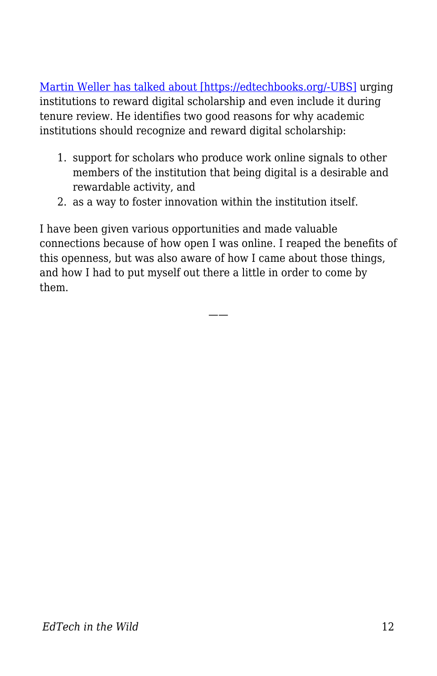[Martin Weller has talked about \[https://edtechbooks.org/-UBS\]](http://elcrps.uoc.edu/index.php/rusc/article/viewFile/v9n2-rubio/v9n2-dossier-eng#page=89) urging institutions to reward digital scholarship and even include it during tenure review. He identifies two good reasons for why academic institutions should recognize and reward digital scholarship:

- 1. support for scholars who produce work online signals to other members of the institution that being digital is a desirable and rewardable activity, and
- 2. as a way to foster innovation within the institution itself.

I have been given various opportunities and made valuable connections because of how open I was online. I reaped the benefits of this openness, but was also aware of how I came about those things, and how I had to put myself out there a little in order to come by them.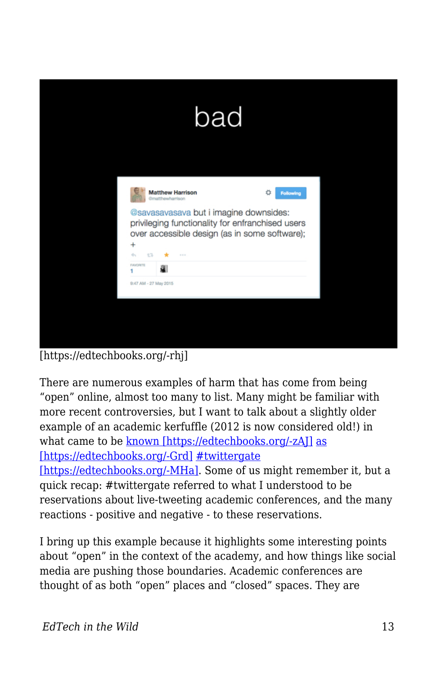| <b>Matthew Harrison</b><br>Ω<br><b>Following</b><br>Gmatthewharrison<br>@savasavasava but i imagine downsides:<br>privileging functionality for enfranchised users<br>over accessible design (as in some software);<br>$\ddot{}$<br>÷.<br>474<br>$1 - 1 - 1$<br><b>FAVORITE</b><br>1<br>9:47 AM - 27 May 2015 | bad |  |
|---------------------------------------------------------------------------------------------------------------------------------------------------------------------------------------------------------------------------------------------------------------------------------------------------------------|-----|--|
|                                                                                                                                                                                                                                                                                                               |     |  |
|                                                                                                                                                                                                                                                                                                               |     |  |

[https://edtechbooks.org/-rhj]

There are numerous examples of harm that has come from being "open" online, almost too many to list. Many might be familiar with more recent controversies, but I want to talk about a slightly older example of an academic kerfuffle (2012 is now considered old!) in what came to be [known \[https://edtechbooks.org/-zAJ\]](http://tressiemc.com/2012/09/30/an-idea-is-a-dangerous-thing-to-quarantine-twittergate/) [as](http://www.hastac.org/blogs/amanda-starling-gould/2012/10/01/twittergate-etiquette-and-ethic-live-tweeting-conference-or-l) [\[https://edtechbooks.org/-Grd\]](http://www.hastac.org/blogs/amanda-starling-gould/2012/10/01/twittergate-etiquette-and-ethic-live-tweeting-conference-or-l) [#twittergate](http://www.emory.edu/ACAD_EXCHANGE/whats_new/roopikatweetingconferences.html)

[\[https://edtechbooks.org/-MHa\].](http://www.emory.edu/ACAD_EXCHANGE/whats_new/roopikatweetingconferences.html) Some of us might remember it, but a quick recap: #twittergate referred to what I understood to be reservations about live-tweeting academic conferences, and the many reactions - positive and negative - to these reservations.

I bring up this example because it highlights some interesting points about "open" in the context of the academy, and how things like social media are pushing those boundaries. Academic conferences are thought of as both "open" places and "closed" spaces. They are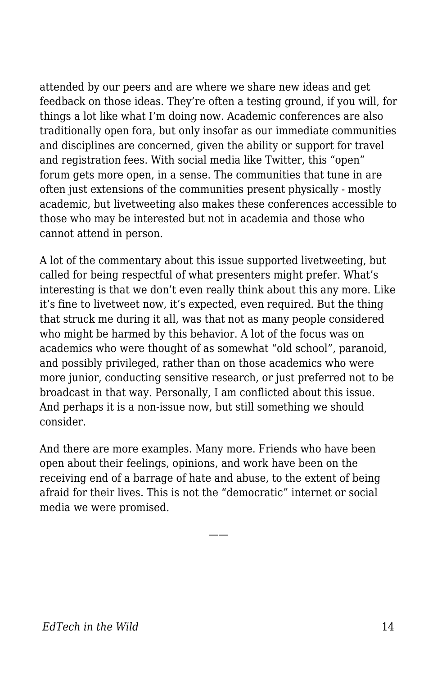attended by our peers and are where we share new ideas and get feedback on those ideas. They're often a testing ground, if you will, for things a lot like what I'm doing now. Academic conferences are also traditionally open fora, but only insofar as our immediate communities and disciplines are concerned, given the ability or support for travel and registration fees. With social media like Twitter, this "open" forum gets more open, in a sense. The communities that tune in are often just extensions of the communities present physically - mostly academic, but livetweeting also makes these conferences accessible to those who may be interested but not in academia and those who cannot attend in person.

A lot of the commentary about this issue supported livetweeting, but called for being respectful of what presenters might prefer. What's interesting is that we don't even really think about this any more. Like it's fine to livetweet now, it's expected, even required. But the thing that struck me during it all, was that not as many people considered who might be harmed by this behavior. A lot of the focus was on academics who were thought of as somewhat "old school", paranoid, and possibly privileged, rather than on those academics who were more junior, conducting sensitive research, or just preferred not to be broadcast in that way. Personally, I am conflicted about this issue. And perhaps it is a non-issue now, but still something we should consider.

And there are more examples. Many more. Friends who have been open about their feelings, opinions, and work have been on the receiving end of a barrage of hate and abuse, to the extent of being afraid for their lives. This is not the "democratic" internet or social media we were promised.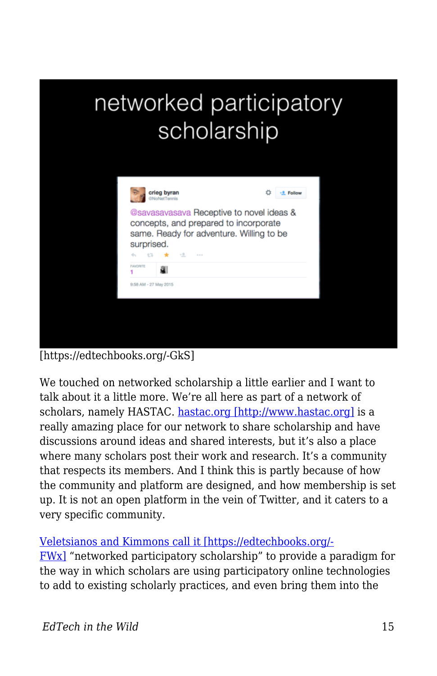## networked participatory scholarship



[https://edtechbooks.org/-GkS]

We touched on networked scholarship a little earlier and I want to talk about it a little more. We're all here as part of a network of scholars, namely HASTAC. [hastac.org \[http://www.hastac.org\]](http://www.hastac.org) is a really amazing place for our network to share scholarship and have discussions around ideas and shared interests, but it's also a place where many scholars post their work and research. It's a community that respects its members. And I think this is partly because of how the community and platform are designed, and how membership is set up. It is not an open platform in the vein of Twitter, and it caters to a very specific community.

## [Veletsianos and Kimmons call it \[https://edtechbooks.org/-](http://www.veletsianos.com/wp-content/uploads/2011/11/NPS_final_published.pdf)

[FWx\]](http://www.veletsianos.com/wp-content/uploads/2011/11/NPS_final_published.pdf) "networked participatory scholarship" to provide a paradigm for the way in which scholars are using participatory online technologies to add to existing scholarly practices, and even bring them into the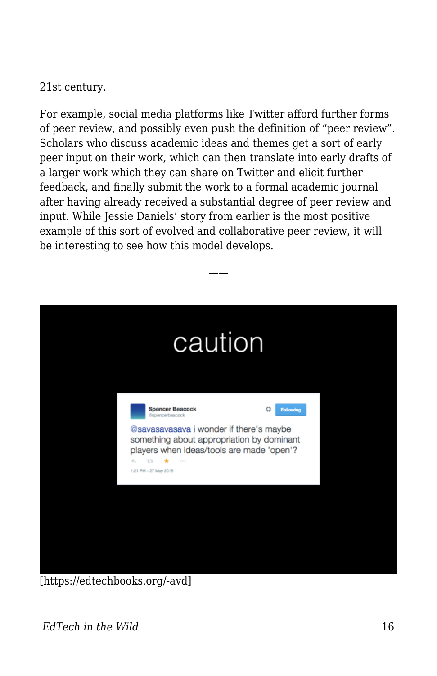21st century.

For example, social media platforms like Twitter afford further forms of peer review, and possibly even push the definition of "peer review". Scholars who discuss academic ideas and themes get a sort of early peer input on their work, which can then translate into early drafts of a larger work which they can share on Twitter and elicit further feedback, and finally submit the work to a formal academic journal after having already received a substantial degree of peer review and input. While Jessie Daniels' story from earlier is the most positive example of this sort of evolved and collaborative peer review, it will be interesting to see how this model develops.



[https://edtechbooks.org/-avd]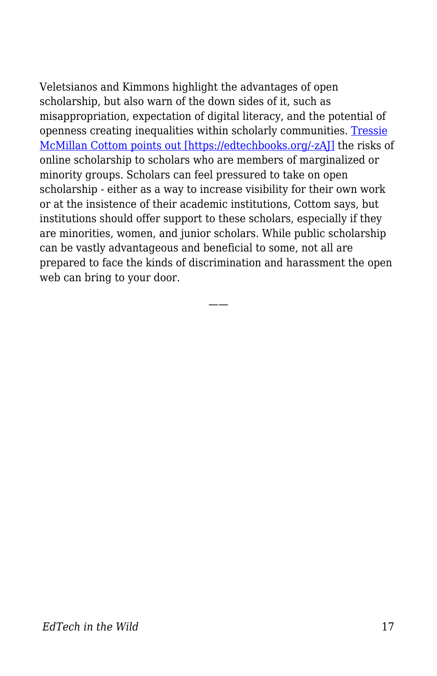Veletsianos and Kimmons highlight the advantages of open scholarship, but also warn of the down sides of it, such as misappropriation, expectation of digital literacy, and the potential of openness creating inequalities within scholarly communities. [Tressie](http://tressiemc.com/2012/09/30/an-idea-is-a-dangerous-thing-to-quarantine-twittergate/) [McMillan Cottom points out \[https://edtechbooks.org/-zAJ\]](http://tressiemc.com/2012/09/30/an-idea-is-a-dangerous-thing-to-quarantine-twittergate/) the risks of online scholarship to scholars who are members of marginalized or minority groups. Scholars can feel pressured to take on open scholarship - either as a way to increase visibility for their own work or at the insistence of their academic institutions, Cottom says, but institutions should offer support to these scholars, especially if they are minorities, women, and junior scholars. While public scholarship can be vastly advantageous and beneficial to some, not all are prepared to face the kinds of discrimination and harassment the open web can bring to your door.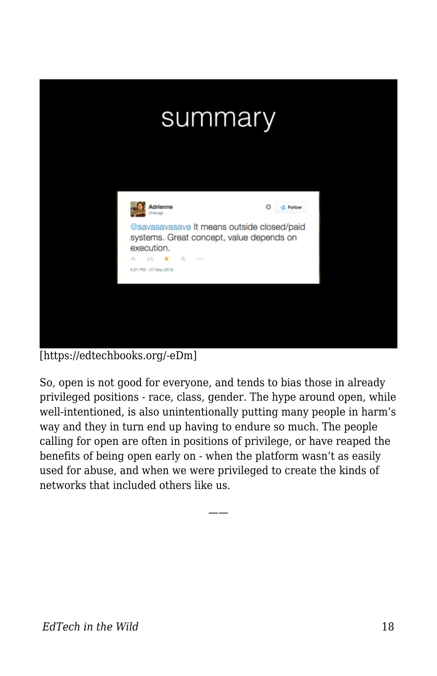

[https://edtechbooks.org/-eDm]

So, open is not good for everyone, and tends to bias those in already privileged positions - race, class, gender. The hype around open, while well-intentioned, is also unintentionally putting many people in harm's way and they in turn end up having to endure so much. The people calling for open are often in positions of privilege, or have reaped the benefits of being open early on - when the platform wasn't as easily used for abuse, and when we were privileged to create the kinds of networks that included others like us.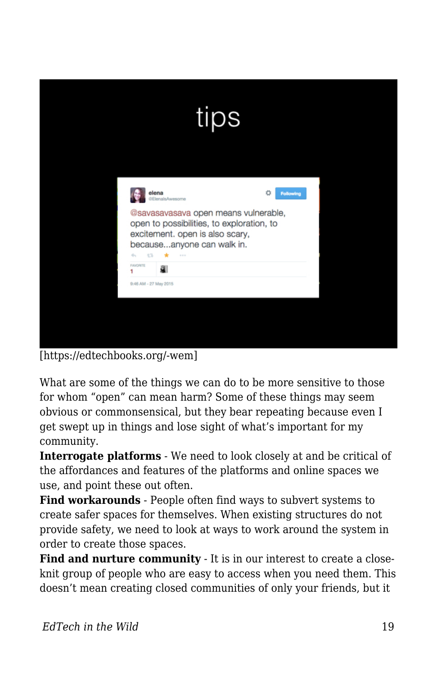|                                                     | tips                                                                                                                                               |                       |  |
|-----------------------------------------------------|----------------------------------------------------------------------------------------------------------------------------------------------------|-----------------------|--|
| elena<br>@ElenalsAwesome<br>43<br>۰<br>÷.<br>$-111$ | @savasavasava open means vulnerable,<br>open to possibilities, to exploration, to<br>excitement. open is also scary,<br>becauseanyone can walk in. | Ö<br><b>Following</b> |  |
| <b>FAVORITE</b><br>a.<br>1<br>9:46 AM - 27 May 2015 |                                                                                                                                                    |                       |  |

[https://edtechbooks.org/-wem]

What are some of the things we can do to be more sensitive to those for whom "open" can mean harm? Some of these things may seem obvious or commonsensical, but they bear repeating because even I get swept up in things and lose sight of what's important for my community.

**Interrogate platforms** - We need to look closely at and be critical of the affordances and features of the platforms and online spaces we use, and point these out often.

**Find workarounds** - People often find ways to subvert systems to create safer spaces for themselves. When existing structures do not provide safety, we need to look at ways to work around the system in order to create those spaces.

**Find and nurture community** - It is in our interest to create a closeknit group of people who are easy to access when you need them. This doesn't mean creating closed communities of only your friends, but it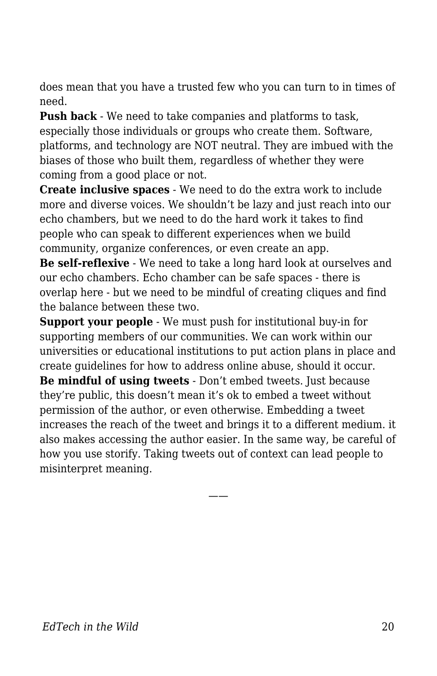does mean that you have a trusted few who you can turn to in times of need.

**Push back** - We need to take companies and platforms to task, especially those individuals or groups who create them. Software, platforms, and technology are NOT neutral. They are imbued with the biases of those who built them, regardless of whether they were coming from a good place or not.

**Create inclusive spaces** - We need to do the extra work to include more and diverse voices. We shouldn't be lazy and just reach into our echo chambers, but we need to do the hard work it takes to find people who can speak to different experiences when we build community, organize conferences, or even create an app.

**Be self-reflexive** - We need to take a long hard look at ourselves and our echo chambers. Echo chamber can be safe spaces - there is overlap here - but we need to be mindful of creating cliques and find the balance between these two.

**Support your people** - We must push for institutional buy-in for supporting members of our communities. We can work within our universities or educational institutions to put action plans in place and create guidelines for how to address online abuse, should it occur. **Be mindful of using tweets** - Don't embed tweets. Just because they're public, this doesn't mean it's ok to embed a tweet without permission of the author, or even otherwise. Embedding a tweet increases the reach of the tweet and brings it to a different medium. it also makes accessing the author easier. In the same way, be careful of how you use storify. Taking tweets out of context can lead people to misinterpret meaning.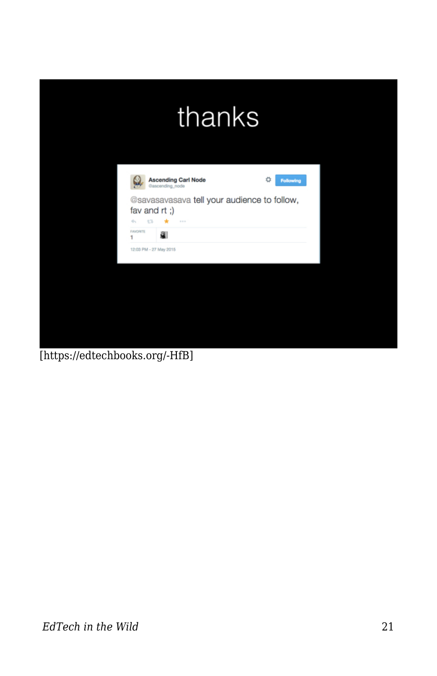[https://edtechbooks.org/-HfB]